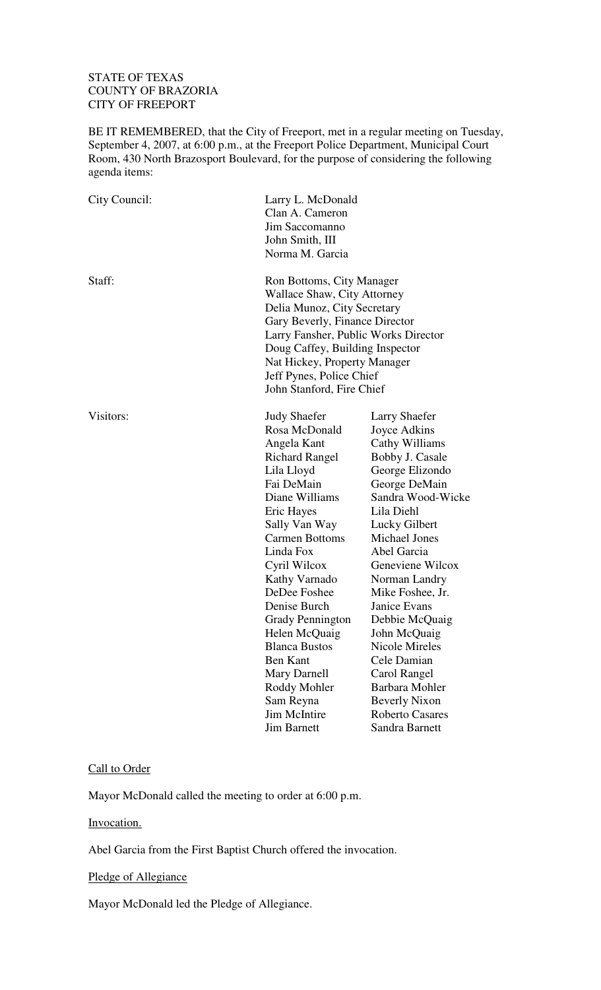## STATE OF TEXAS COUNTY OF BRAZORIA CITY OF FREEPORT

BE IT REMEMBERED, that the City of Freeport, met in a regular meeting on Tuesday, September 4, 2007, at 6:00 p.m., at the Freeport Police Department, Municipal Court Room, 430 North Brazosport Boulevard, for the purpose of considering the following agenda items:

| City Council: | Larry L. McDonald<br>Clan A. Cameron<br>Jim Saccomanno<br>John Smith, III<br>Norma M. Garcia                                                                                                                                                                                                                                                                                                                                               |                                                                                                                                                                                                                                                                                                                                                                                                                                                     |  |
|---------------|--------------------------------------------------------------------------------------------------------------------------------------------------------------------------------------------------------------------------------------------------------------------------------------------------------------------------------------------------------------------------------------------------------------------------------------------|-----------------------------------------------------------------------------------------------------------------------------------------------------------------------------------------------------------------------------------------------------------------------------------------------------------------------------------------------------------------------------------------------------------------------------------------------------|--|
| Staff:        | Ron Bottoms, City Manager<br><b>Wallace Shaw, City Attorney</b><br>Delia Munoz, City Secretary<br>Gary Beverly, Finance Director<br>Larry Fansher, Public Works Director<br>Doug Caffey, Building Inspector<br>Nat Hickey, Property Manager<br>Jeff Pynes, Police Chief<br>John Stanford, Fire Chief                                                                                                                                       |                                                                                                                                                                                                                                                                                                                                                                                                                                                     |  |
| Visitors:     | <b>Judy Shaefer</b><br>Rosa McDonald<br>Angela Kant<br><b>Richard Rangel</b><br>Lila Lloyd<br>Fai DeMain<br>Diane Williams<br>Eric Hayes<br>Sally Van Way<br><b>Carmen Bottoms</b><br>Linda Fox<br>Cyril Wilcox<br>Kathy Varnado<br>DeDee Foshee<br>Denise Burch<br><b>Grady Pennington</b><br>Helen McQuaig<br><b>Blanca Bustos</b><br><b>Ben Kant</b><br>Mary Darnell<br>Roddy Mohler<br>Sam Reyna<br>Jim McIntire<br><b>Jim Barnett</b> | <b>Larry Shaefer</b><br>Joyce Adkins<br>Cathy Williams<br>Bobby J. Casale<br>George Elizondo<br>George DeMain<br>Sandra Wood-Wicke<br>Lila Diehl<br>Lucky Gilbert<br><b>Michael Jones</b><br>Abel Garcia<br>Geneviene Wilcox<br>Norman Landry<br>Mike Foshee, Jr.<br>Janice Evans<br>Debbie McQuaig<br>John McQuaig<br>Nicole Mireles<br>Cele Damian<br>Carol Rangel<br>Barbara Mohler<br><b>Beverly Nixon</b><br>Roberto Casares<br>Sandra Barnett |  |

## Call to Order

Mayor McDonald called the meeting to order at 6:00 p.m.

Invocation.

Abel Garcia from the First Baptist Church offered the invocation.

## Pledge of Allegiance

Mayor McDonald led the Pledge of Allegiance.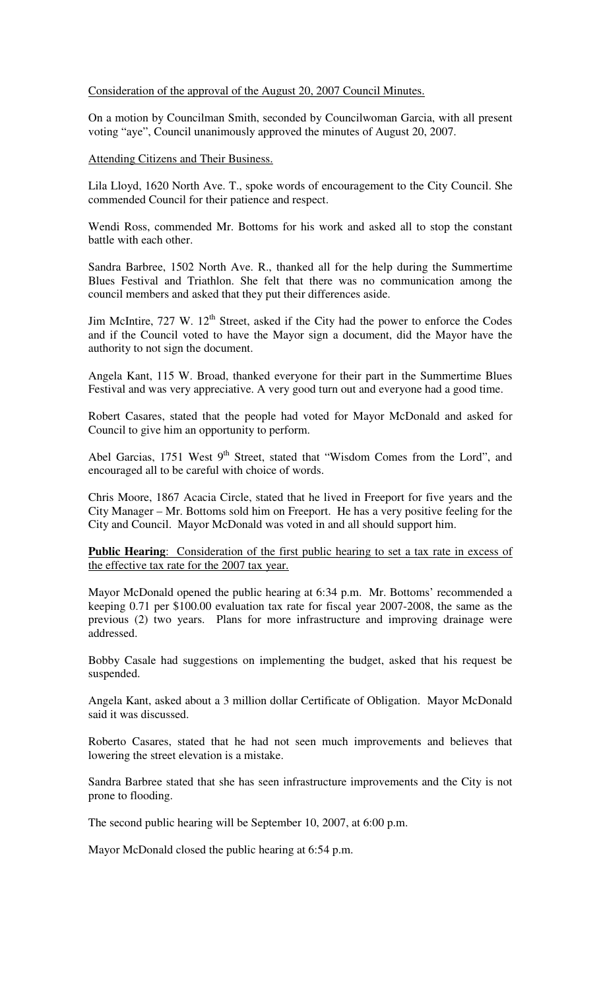### Consideration of the approval of the August 20, 2007 Council Minutes.

On a motion by Councilman Smith, seconded by Councilwoman Garcia, with all present voting "aye", Council unanimously approved the minutes of August 20, 2007.

### Attending Citizens and Their Business.

Lila Lloyd, 1620 North Ave. T., spoke words of encouragement to the City Council. She commended Council for their patience and respect.

Wendi Ross, commended Mr. Bottoms for his work and asked all to stop the constant battle with each other.

Sandra Barbree, 1502 North Ave. R., thanked all for the help during the Summertime Blues Festival and Triathlon. She felt that there was no communication among the council members and asked that they put their differences aside.

Jim McIntire,  $727 \text{ W}$ .  $12^{\text{th}}$  Street, asked if the City had the power to enforce the Codes and if the Council voted to have the Mayor sign a document, did the Mayor have the authority to not sign the document.

Angela Kant, 115 W. Broad, thanked everyone for their part in the Summertime Blues Festival and was very appreciative. A very good turn out and everyone had a good time.

Robert Casares, stated that the people had voted for Mayor McDonald and asked for Council to give him an opportunity to perform.

Abel Garcias, 1751 West  $9<sup>th</sup>$  Street, stated that "Wisdom Comes from the Lord", and encouraged all to be careful with choice of words.

Chris Moore, 1867 Acacia Circle, stated that he lived in Freeport for five years and the City Manager – Mr. Bottoms sold him on Freeport. He has a very positive feeling for the City and Council. Mayor McDonald was voted in and all should support him.

**Public Hearing:** Consideration of the first public hearing to set a tax rate in excess of the effective tax rate for the 2007 tax year.

Mayor McDonald opened the public hearing at 6:34 p.m. Mr. Bottoms' recommended a keeping 0.71 per \$100.00 evaluation tax rate for fiscal year 2007-2008, the same as the previous (2) two years. Plans for more infrastructure and improving drainage were addressed.

Bobby Casale had suggestions on implementing the budget, asked that his request be suspended.

Angela Kant, asked about a 3 million dollar Certificate of Obligation. Mayor McDonald said it was discussed.

Roberto Casares, stated that he had not seen much improvements and believes that lowering the street elevation is a mistake.

Sandra Barbree stated that she has seen infrastructure improvements and the City is not prone to flooding.

The second public hearing will be September 10, 2007, at 6:00 p.m.

Mayor McDonald closed the public hearing at 6:54 p.m.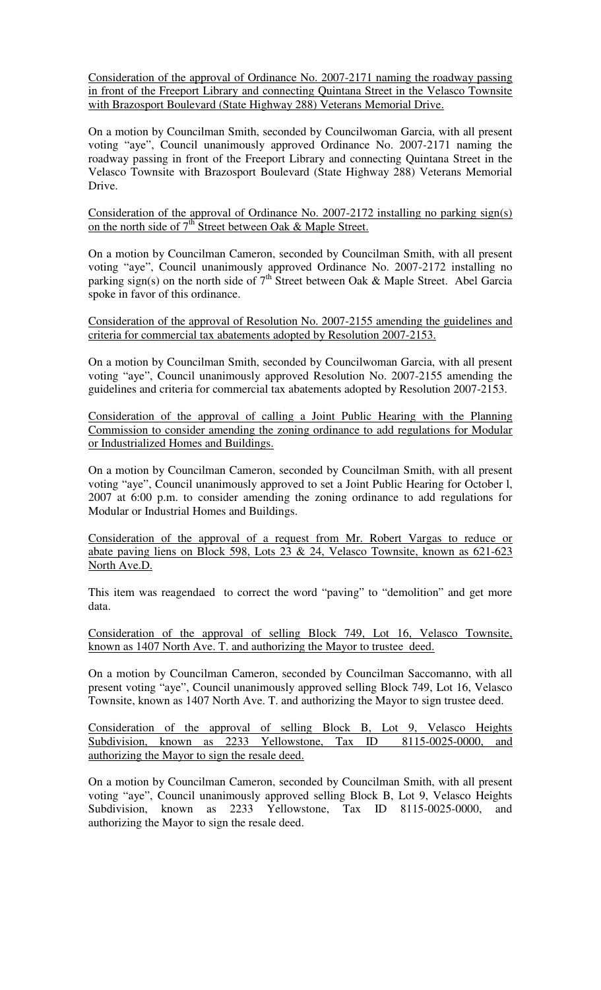Consideration of the approval of Ordinance No. 2007-2171 naming the roadway passing in front of the Freeport Library and connecting Quintana Street in the Velasco Townsite with Brazosport Boulevard (State Highway 288) Veterans Memorial Drive.

On a motion by Councilman Smith, seconded by Councilwoman Garcia, with all present voting "aye", Council unanimously approved Ordinance No. 2007-2171 naming the roadway passing in front of the Freeport Library and connecting Quintana Street in the Velasco Townsite with Brazosport Boulevard (State Highway 288) Veterans Memorial Drive.

Consideration of the approval of Ordinance No. 2007-2172 installing no parking sign(s) on the north side of  $7<sup>th</sup>$  Street between Oak & Maple Street.

On a motion by Councilman Cameron, seconded by Councilman Smith, with all present voting "aye", Council unanimously approved Ordinance No. 2007-2172 installing no parking sign(s) on the north side of  $7<sup>th</sup>$  Street between Oak & Maple Street. Abel Garcia spoke in favor of this ordinance.

Consideration of the approval of Resolution No. 2007-2155 amending the guidelines and criteria for commercial tax abatements adopted by Resolution 2007-2153.

On a motion by Councilman Smith, seconded by Councilwoman Garcia, with all present voting "aye", Council unanimously approved Resolution No. 2007-2155 amending the guidelines and criteria for commercial tax abatements adopted by Resolution 2007-2153.

Consideration of the approval of calling a Joint Public Hearing with the Planning Commission to consider amending the zoning ordinance to add regulations for Modular or Industrialized Homes and Buildings.

On a motion by Councilman Cameron, seconded by Councilman Smith, with all present voting "aye", Council unanimously approved to set a Joint Public Hearing for October l, 2007 at 6:00 p.m. to consider amending the zoning ordinance to add regulations for Modular or Industrial Homes and Buildings.

Consideration of the approval of a request from Mr. Robert Vargas to reduce or abate paving liens on Block 598, Lots 23 & 24, Velasco Townsite, known as  $621-623$ North Ave.D.

This item was reagendaed to correct the word "paving" to "demolition" and get more data.

Consideration of the approval of selling Block 749, Lot 16, Velasco Townsite, known as 1407 North Ave. T. and authorizing the Mayor to trustee deed.

On a motion by Councilman Cameron, seconded by Councilman Saccomanno, with all present voting "aye", Council unanimously approved selling Block 749, Lot 16, Velasco Townsite, known as 1407 North Ave. T. and authorizing the Mayor to sign trustee deed.

Consideration of the approval of selling Block B, Lot 9, Velasco Heights Subdivision, known as 2233 Yellowstone, Tax ID 8115-0025-0000, and authorizing the Mayor to sign the resale deed.

On a motion by Councilman Cameron, seconded by Councilman Smith, with all present voting "aye", Council unanimously approved selling Block B, Lot 9, Velasco Heights Subdivision, known as 2233 Yellowstone, Tax ID 8115-0025-0000, and authorizing the Mayor to sign the resale deed.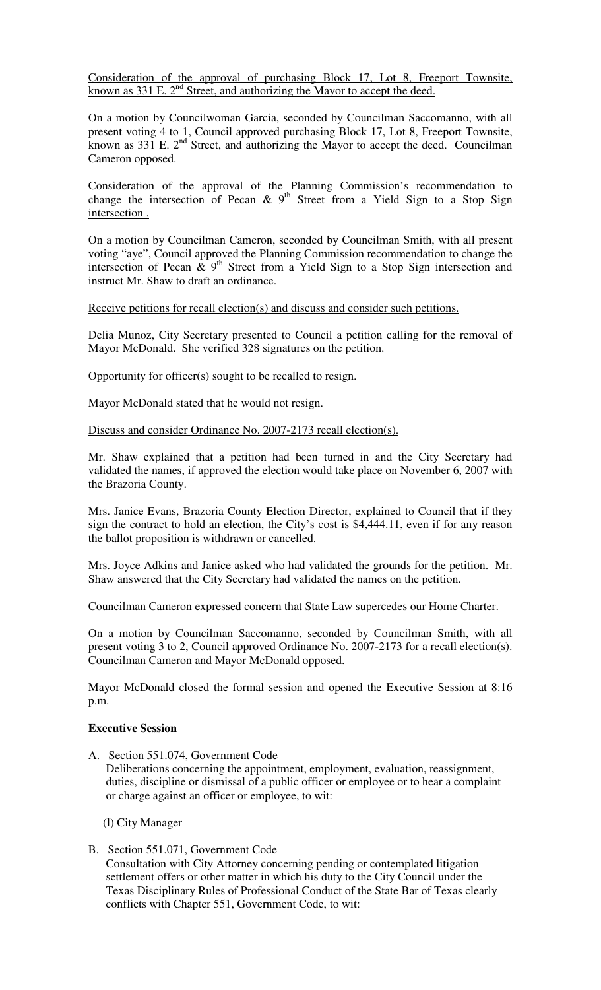Consideration of the approval of purchasing Block 17, Lot 8, Freeport Townsite, known as  $331$  E.  $2<sup>nd</sup>$  Street, and authorizing the Mayor to accept the deed.

On a motion by Councilwoman Garcia, seconded by Councilman Saccomanno, with all present voting 4 to 1, Council approved purchasing Block 17, Lot 8, Freeport Townsite, known as 331 E. 2<sup>nd</sup> Street, and authorizing the Mayor to accept the deed. Councilman Cameron opposed.

Consideration of the approval of the Planning Commission's recommendation to change the intersection of Pecan &  $9<sup>th</sup>$  Street from a Yield Sign to a Stop Sign intersection .

On a motion by Councilman Cameron, seconded by Councilman Smith, with all present voting "aye", Council approved the Planning Commission recommendation to change the intersection of Pecan  $\&$  9<sup>th</sup> Street from a Yield Sign to a Stop Sign intersection and instruct Mr. Shaw to draft an ordinance.

Receive petitions for recall election(s) and discuss and consider such petitions.

Delia Munoz, City Secretary presented to Council a petition calling for the removal of Mayor McDonald. She verified 328 signatures on the petition.

Opportunity for officer(s) sought to be recalled to resign.

Mayor McDonald stated that he would not resign.

Discuss and consider Ordinance No. 2007-2173 recall election(s).

Mr. Shaw explained that a petition had been turned in and the City Secretary had validated the names, if approved the election would take place on November 6, 2007 with the Brazoria County.

Mrs. Janice Evans, Brazoria County Election Director, explained to Council that if they sign the contract to hold an election, the City's cost is \$4,444.11, even if for any reason the ballot proposition is withdrawn or cancelled.

Mrs. Joyce Adkins and Janice asked who had validated the grounds for the petition. Mr. Shaw answered that the City Secretary had validated the names on the petition.

Councilman Cameron expressed concern that State Law supercedes our Home Charter.

On a motion by Councilman Saccomanno, seconded by Councilman Smith, with all present voting 3 to 2, Council approved Ordinance No. 2007-2173 for a recall election(s). Councilman Cameron and Mayor McDonald opposed.

Mayor McDonald closed the formal session and opened the Executive Session at 8:16 p.m.

#### **Executive Session**

A. Section 551.074, Government Code

 Deliberations concerning the appointment, employment, evaluation, reassignment, duties, discipline or dismissal of a public officer or employee or to hear a complaint or charge against an officer or employee, to wit:

(l) City Manager

B. Section 551.071, Government Code Consultation with City Attorney concerning pending or contemplated litigation settlement offers or other matter in which his duty to the City Council under the Texas Disciplinary Rules of Professional Conduct of the State Bar of Texas clearly conflicts with Chapter 551, Government Code, to wit: